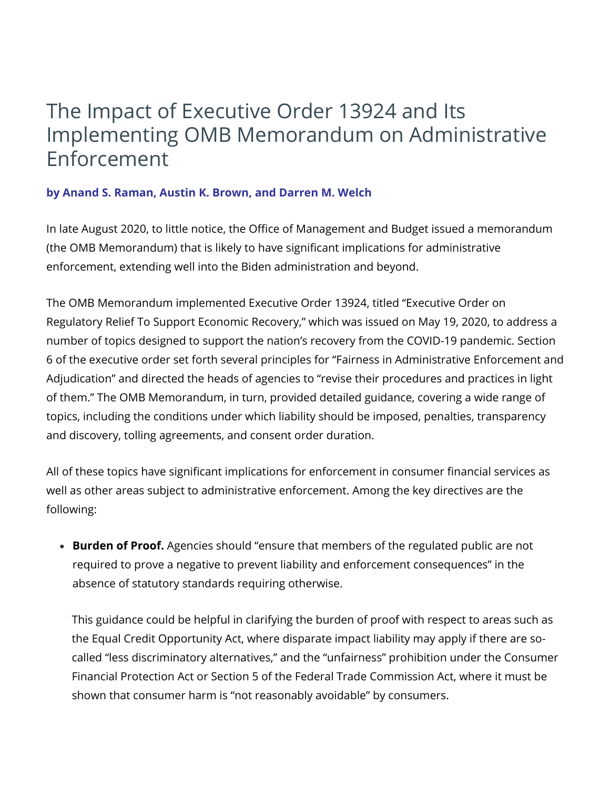## The Impact of Executive Order 13924 and Its Implementing OMB Memorandum on Administrative Enforcement

## **by Anand S. [Raman](https://www.skadden.com/professionals/r/raman-anand-s), Austin K. [Brown,](https://www.skadden.com/professionals/b/brown-austin-k) and [Darren](https://www.skadden.com/professionals/w/welch-darren-m) M. Welch**

In late August 2020, to little notice, the Office of Management and Budget issued a memorandum (the OMB Memorandum) that is likely to have significant implications for administrative enforcement, extending well into the Biden administration and beyond.

The OMB Memorandum implemented Executive Order 13924, titled "Executive Order on Regulatory Relief To Support Economic Recovery," which was issued on May 19, 2020, to address a number of topics designed to support the nation's recovery from the COVID-19 pandemic. Section 6 of the executive order set forth several principles for "Fairness in Administrative Enforcement and Adjudication" and directed the heads of agencies to "revise their procedures and practices in light of them." The OMB Memorandum, in turn, provided detailed guidance, covering a wide range of topics, including the conditions under which liability should be imposed, penalties, transparency and discovery, tolling agreements, and consent order duration.

All of these topics have significant implications for enforcement in consumer financial services as well as other areas subject to administrative enforcement. Among the key directives are the following:

**Burden of Proof.** Agencies should "ensure that members of the regulated public are not required to prove a negative to prevent liability and enforcement consequences" in the absence of statutory standards requiring otherwise.

This guidance could be helpful in clarifying the burden of proof with respect to areas such as the Equal Credit Opportunity Act, where disparate impact liability may apply if there are socalled "less discriminatory alternatives," and the "unfairness" prohibition under the Consumer Financial Protection Act or Section 5 of the Federal Trade Commission Act, where it must be shown that consumer harm is "not reasonably avoidable" by consumers.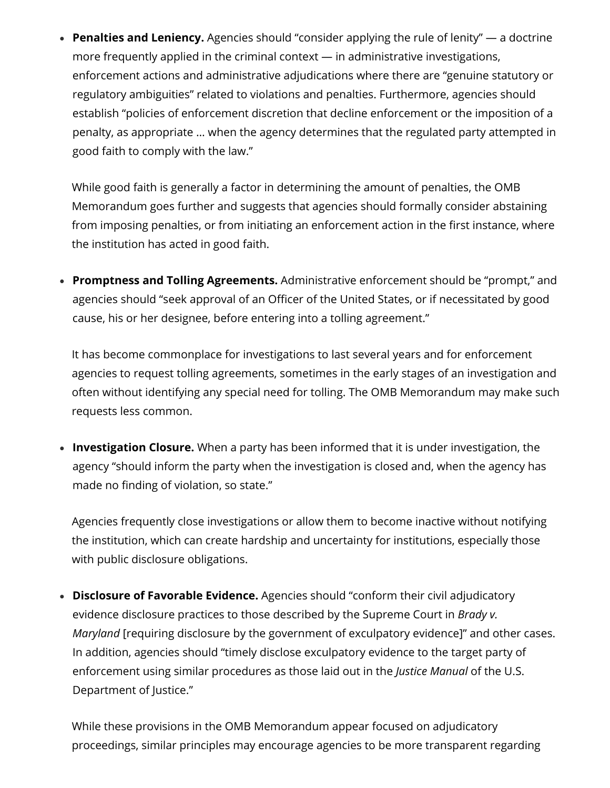**Penalties and Leniency.** Agencies should "consider applying the rule of lenity" — a doctrine more frequently applied in the criminal context — in administrative investigations, enforcement actions and administrative adjudications where there are "genuine statutory or regulatory ambiguities" related to violations and penalties. Furthermore, agencies should establish "policies of enforcement discretion that decline enforcement or the imposition of a penalty, as appropriate … when the agency determines that the regulated party attempted in good faith to comply with the law."

While good faith is generally a factor in determining the amount of penalties, the OMB Memorandum goes further and suggests that agencies should formally consider abstaining from imposing penalties, or from initiating an enforcement action in the first instance, where the institution has acted in good faith.

**Promptness and Tolling Agreements.** Administrative enforcement should be "prompt," and agencies should "seek approval of an Officer of the United States, or if necessitated by good cause, his or her designee, before entering into a tolling agreement."

It has become commonplace for investigations to last several years and for enforcement agencies to request tolling agreements, sometimes in the early stages of an investigation and often without identifying any special need for tolling. The OMB Memorandum may make such requests less common.

**Investigation Closure.** When a party has been informed that it is under investigation, the agency "should inform the party when the investigation is closed and, when the agency has made no finding of violation, so state."

Agencies frequently close investigations or allow them to become inactive without notifying the institution, which can create hardship and uncertainty for institutions, especially those with public disclosure obligations.

**Disclosure of Favorable Evidence.** Agencies should "conform their civil adjudicatory evidence disclosure practices to those described by the Supreme Court in *Brady v. Maryland* [requiring disclosure by the government of exculpatory evidence]" and other cases. In addition, agencies should "timely disclose exculpatory evidence to the target party of enforcement using similar procedures as those laid out in the *Justice Manual* of the U.S. Department of Justice."

While these provisions in the OMB Memorandum appear focused on adjudicatory proceedings, similar principles may encourage agencies to be more transparent regarding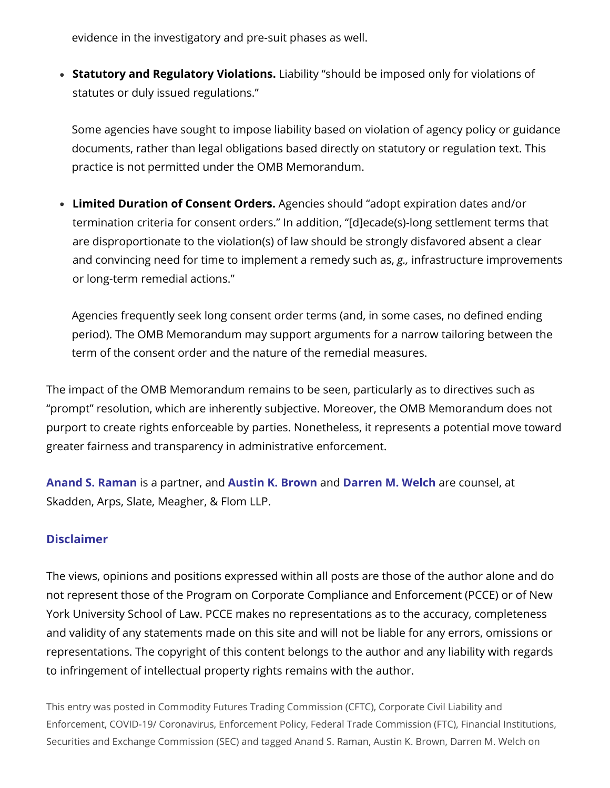evidence in the investigatory and pre-suit phases as well.

**Statutory and Regulatory Violations.** Liability "should be imposed only for violations of statutes or duly issued regulations."

Some agencies have sought to impose liability based on violation of agency policy or guidance documents, rather than legal obligations based directly on statutory or regulation text. This practice is not permitted under the OMB Memorandum.

**Limited Duration of Consent Orders.** Agencies should "adopt expiration dates and/or termination criteria for consent orders." In addition, "[d]ecade(s)-long settlement terms that are disproportionate to the violation(s) of law should be strongly disfavored absent a clear and convincing need for time to implement a remedy such as, *g.,* infrastructure improvements or long-term remedial actions."

Agencies frequently seek long consent order terms (and, in some cases, no defined ending period). The OMB Memorandum may support arguments for a narrow tailoring between the term of the consent order and the nature of the remedial measures.

The impact of the OMB Memorandum remains to be seen, particularly as to directives such as "prompt" resolution, which are inherently subjective. Moreover, the OMB Memorandum does not purport to create rights enforceable by parties. Nonetheless, it represents a potential move toward greater fairness and transparency in administrative enforcement.

**Anand S. [Raman](https://www.skadden.com/professionals/r/raman-anand-s)** is a partner, and **Austin K. [Brown](https://www.skadden.com/professionals/b/brown-austin-k)** and **[Darren](https://www.skadden.com/professionals/w/welch-darren-m) M. Welch** are counsel, at Skadden, Arps, Slate, Meagher, & Flom LLP.

## **Disclaimer**

The views, opinions and positions expressed within all posts are those of the author alone and do not represent those of the Program on Corporate Compliance and Enforcement (PCCE) or of New York University School of Law. PCCE makes no representations as to the accuracy, completeness and validity of any statements made on this site and will not be liable for any errors, omissions or representations. The copyright of this content belongs to the author and any liability with regards to infringement of intellectual property rights remains with the author.

This entry was posted in Commodity Futures Trading [Commission](https://wp.nyu.edu/compliance_enforcement/category/cftc/) (CFTC), Corporate Civil Liability and [Enforcement,](https://wp.nyu.edu/compliance_enforcement/category/corporate-civil-liability-and-enforcement/) COVID-19/ [Coronavirus,](https://wp.nyu.edu/compliance_enforcement/category/covid-19/) [Enforcement](https://wp.nyu.edu/compliance_enforcement/category/enforcement-policy/) Policy, Federal Trade [Commission](https://wp.nyu.edu/compliance_enforcement/category/federal-trade-commission-ftc/) (FTC), Financial [Institutions](https://wp.nyu.edu/compliance_enforcement/category/financial-institutions/), Securities and Exchange [Commission](https://wp.nyu.edu/compliance_enforcement/category/securities-and-exchange-commission-sec/) (SEC) and tagged Anand S. [Raman](https://wp.nyu.edu/compliance_enforcement/tag/anand-s-raman/), Austin K. [Brown](https://wp.nyu.edu/compliance_enforcement/tag/austin-k-brown/), [Darren](https://wp.nyu.edu/compliance_enforcement/tag/darren-m-welch/) M. Welch on